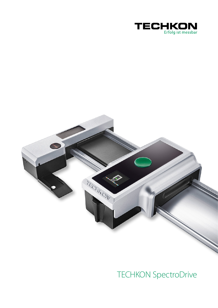



# TECHKON SpectroDrive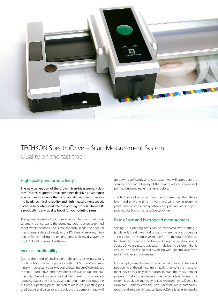

## TECHKON SpectroDrive – Scan-Measurement System Quality on the fast track

### High quality and productivity

The new generation of the proven Scan-Measurement System TECHKON SpectroDrive combines decisive advantages: Precise measurements thanks to an ISO-compliant measuring head, technical reliability and high measurement speed. It can be fully integrated into the printing process. The result: a productivity and quality boost for your printing press.

The system consists of two components: The motorized measurement device scans the complete color bar on a printed sheet within seconds and simultaneously sends the spectral measurement data wirelessly to the PC. Here all relevant information for controlling the printing press is clearly displayed by the TECHKON ExPresso 4 software.

#### Increase profitability

Due to the trend of smaller print jobs and shorter press runs the time from starting a press to getting it "in color" and running with consistent quality is cost critical. SpectroDrive reduces this "non-productive" and therefore expensive set-up time dramatically. You will increase profitability thanks to substantially reducing paper and ink waste and getting more precious time out of your printing press. The system makes your printing jobs predictable and calculable. In addition, the complaint rate will go down significantly and your customers will appreciate the sensible gain and reliability of the print quality. ISO-compliant printing becomes easier than ever before.

The high rate of return of investment is amazing. The relative low – and only one time – investment will show in recurring profits almost immediately. Also older printing presses get a productivity boost thanks to SpectroDrive.

#### Ease of use and high speed measurement

Setting up a printing press can be compared with starting a jet plane. It is a time-critical process, where the press operator – like a pilot – must observe and perform a multitude of important tasks at the same time. Hence, during the development of SpectroDrive great care was taken in delivering a system that is easy to use and fast, to make working with SpectroDrive even more intuitive and convenient.

For example, a laser beam can be activated to support the exact positioning of the print control strip. Furthermore the measurement device has only one button to start the measurement process. Installation is simple as well. After a few minutes the system is operable and ready to take measurements. Due to its aluminum unibody case the new SpectroDrive is particularly robust and reliable. Of course SpectroDrive is able to handle